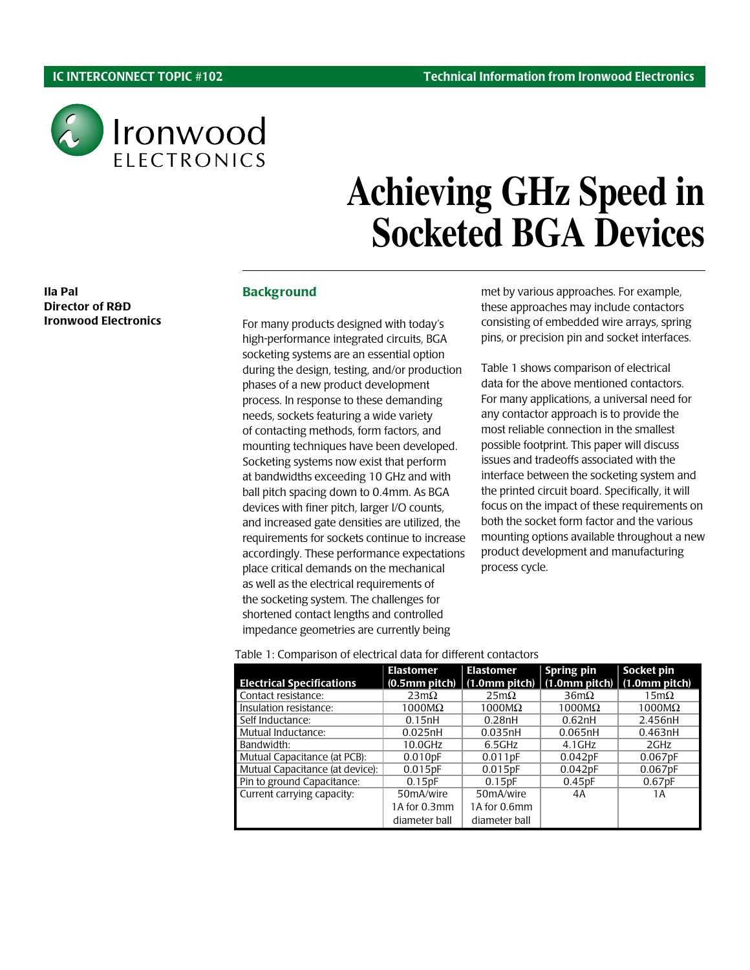Ila Pal

Director of R&D Ironwood Electronics



# **Achieving GHz Speed in Socketed BGA Devices**

#### **Background**

For many products designed with today's high-performance integrated circuits, BGA socketing systems are an essential option during the design, testing, and/or production phases of a new product development process. In response to these demanding needs, sockets featuring a wide variety of contacting methods, form factors, and mounting techniques have been developed. Socketing systems now exist that perform at bandwidths exceeding 10 GHz and with ball pitch spacing down to 0.4mm. As BGA devices with finer pitch, larger I/O counts, and increased gate densities are utilized, the requirements for sockets continue to increase accordingly. These performance expectations place critical demands on the mechanical as well as the electrical requirements of the socketing system. The challenges for shortened contact lengths and controlled impedance geometries are currently being

met by various approaches. For example, these approaches may include contactors consisting of embedded wire arrays, spring pins, or precision pin and socket interfaces.

Table 1 shows comparison of electrical data for the above mentioned contactors. For many applications, a universal need for any contactor approach is to provide the most reliable connection in the smallest possible footprint. This paper will discuss issues and tradeoffs associated with the interface between the socketing system and the printed circuit board. Specifically, it will focus on the impact of these requirements on both the socket form factor and the various mounting options available throughout a new product development and manufacturing process cycle.

Table 1: Comparison of electrical data for different contactors

|                                  | <b>Elastomer</b> | <b>Elastomer</b>      | Spring pin          | Socket pin         |
|----------------------------------|------------------|-----------------------|---------------------|--------------------|
|                                  |                  |                       |                     |                    |
| <b>Electrical Specifications</b> | (0.5mm pitch)    | $(1.0mm$ pitch)       | $(1.0$ mm pitch $)$ | (1.0mm pitch)      |
| Contact resistance:              | $23m\Omega$      | $25m\Omega$           | $36m\Omega$         | $15m\Omega$        |
| Insulation resistance:           | $1000M\Omega$    | $1000M\Omega$         | $1000M\Omega$       | $1000M\Omega$      |
| Self Inductance:                 | 0.15nH           | 0.28nH                | 0.62nH              | 2.456nH            |
| Mutual Inductance:               | 0.025nH          | 0.035nH               | 0.065nH             | 0.463nH            |
| Bandwidth:                       | 10.0GHz          | 6.5GHz                | $4.1$ GHz           | 2GHz               |
| Mutual Capacitance (at PCB):     | 0.010pF          | 0.011pF               | 0.042pF             | 0.067pF            |
| Mutual Capacitance (at device):  | 0.015pF          | $0.015$ <sub>pF</sub> | 0.042pF             | 0.067pF            |
| Pin to ground Capacitance:       | 0.15pF           | 0.15pF                | 0.45pF              | 0.67 <sub>pF</sub> |
| Current carrying capacity:       | 50mA/wire        | 50mA/wire             | 4A                  | 1 A                |
|                                  | 1A for 0.3mm     | 1A for 0.6mm          |                     |                    |
|                                  | diameter ball    | diameter ball         |                     |                    |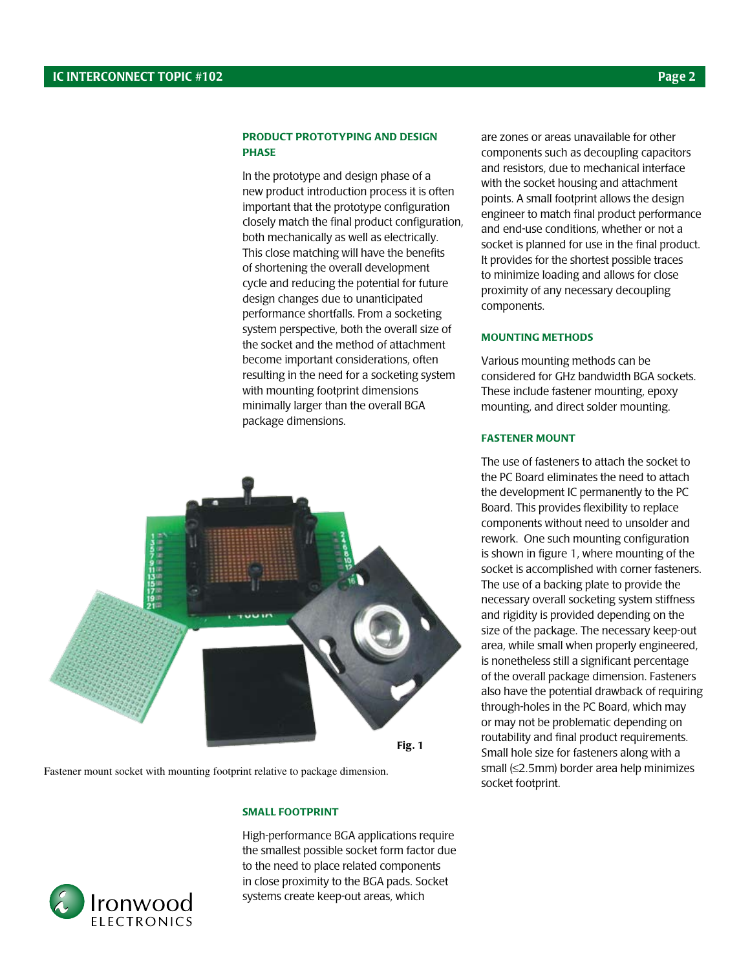#### Product Prototyping and Design **PHASE**

In the prototype and design phase of a new product introduction process it is often important that the prototype configuration closely match the final product configuration, both mechanically as well as electrically. This close matching will have the benefits of shortening the overall development cycle and reducing the potential for future design changes due to unanticipated performance shortfalls. From a socketing system perspective, both the overall size of the socket and the method of attachment become important considerations, often resulting in the need for a socketing system with mounting footprint dimensions minimally larger than the overall BGA package dimensions.

Fig. 1

Fastener mount socket with mounting footprint relative to package dimension.

### Small Footprint

High-performance BGA applications require the smallest possible socket form factor due to the need to place related components in close proximity to the BGA pads. Socket systems create keep-out areas, which

are zones or areas unavailable for other components such as decoupling capacitors and resistors, due to mechanical interface with the socket housing and attachment points. A small footprint allows the design engineer to match final product performance and end-use conditions, whether or not a socket is planned for use in the final product. It provides for the shortest possible traces to minimize loading and allows for close proximity of any necessary decoupling components.

#### Mounting Methods

Various mounting methods can be considered for GHz bandwidth BGA sockets. These include fastener mounting, epoxy mounting, and direct solder mounting.

#### Fastener Mount

The use of fasteners to attach the socket to the PC Board eliminates the need to attach the development IC permanently to the PC Board. This provides flexibility to replace components without need to unsolder and rework. One such mounting configuration is shown in figure 1, where mounting of the socket is accomplished with corner fasteners. The use of a backing plate to provide the necessary overall socketing system stiffness and rigidity is provided depending on the size of the package. The necessary keep-out area, while small when properly engineered, is nonetheless still a significant percentage of the overall package dimension. Fasteners also have the potential drawback of requiring through-holes in the PC Board, which may or may not be problematic depending on routability and final product requirements. Small hole size for fasteners along with a small (≤2.5mm) border area help minimizes socket footprint.

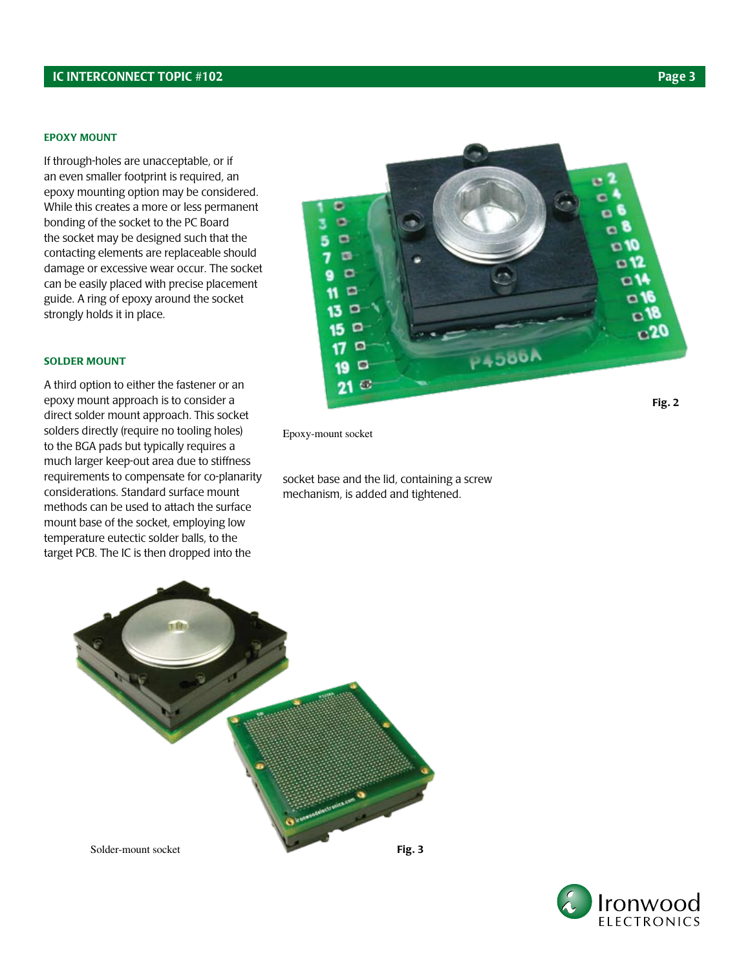#### IC INTERCONNECT TOPIC #102 Page 3

#### Epoxy mount

If through-holes are unacceptable, or if an even smaller footprint is required, an epoxy mounting option may be considered. While this creates a more or less permanent bonding of the socket to the PC Board the socket may be designed such that the contacting elements are replaceable should damage or excessive wear occur. The socket can be easily placed with precise placement guide. A ring of epoxy around the socket strongly holds it in place.

#### Solder Mount

A third option to either the fastener or an epoxy mount approach is to consider a direct solder mount approach. This socket solders directly (require no tooling holes) to the BGA pads but typically requires a much larger keep-out area due to stiffness requirements to compensate for co-planarity considerations. Standard surface mount methods can be used to attach the surface mount base of the socket, employing low temperature eutectic solder balls, to the target PCB. The IC is then dropped into the



Epoxy-mount socket

socket base and the lid, containing a screw mechanism, is added and tightened.



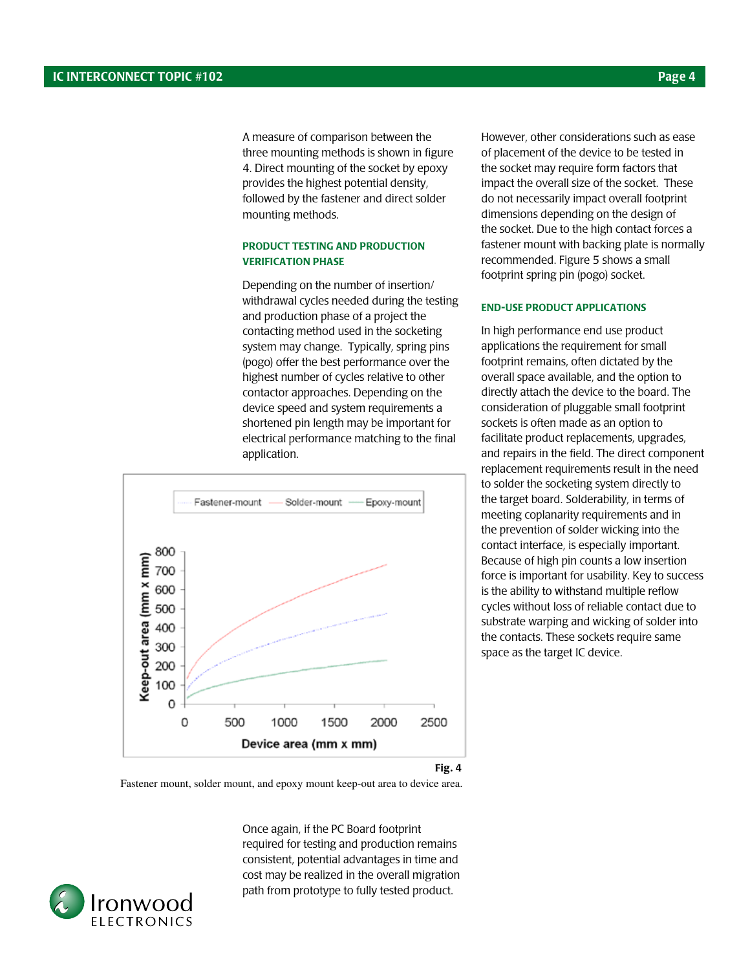A measure of comparison between the three mounting methods is shown in figure 4. Direct mounting of the socket by epoxy provides the highest potential density, followed by the fastener and direct solder mounting methods.

#### product testing and production verification phase

Depending on the number of insertion/ withdrawal cycles needed during the testing and production phase of a project the contacting method used in the socketing system may change. Typically, spring pins (pogo) offer the best performance over the highest number of cycles relative to other contactor approaches. Depending on the device speed and system requirements a shortened pin length may be important for electrical performance matching to the final application.



However, other considerations such as ease of placement of the device to be tested in the socket may require form factors that impact the overall size of the socket. These do not necessarily impact overall footprint dimensions depending on the design of the socket. Due to the high contact forces a fastener mount with backing plate is normally recommended. Figure 5 shows a small footprint spring pin (pogo) socket.

#### End-use product applications

In high performance end use product applications the requirement for small footprint remains, often dictated by the overall space available, and the option to directly attach the device to the board. The consideration of pluggable small footprint sockets is often made as an option to facilitate product replacements, upgrades, and repairs in the field. The direct component replacement requirements result in the need to solder the socketing system directly to the target board. Solderability, in terms of meeting coplanarity requirements and in the prevention of solder wicking into the contact interface, is especially important. Because of high pin counts a low insertion force is important for usability. Key to success is the ability to withstand multiple reflow cycles without loss of reliable contact due to substrate warping and wicking of solder into the contacts. These sockets require same space as the target IC device.

Fastener mount, solder mount, and epoxy mount keep-out area to device area.

Once again, if the PC Board footprint required for testing and production remains consistent, potential advantages in time and cost may be realized in the overall migration path from prototype to fully tested product.